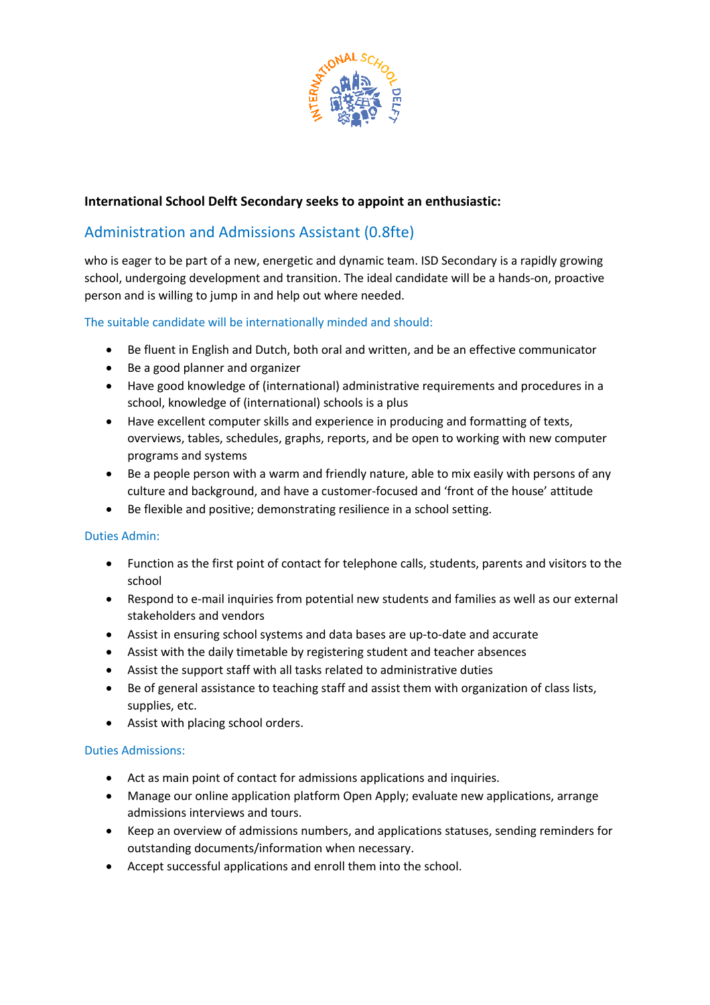

## **International School Delft Secondary seeks to appoint an enthusiastic:**

# Administration and Admissions Assistant (0.8fte)

who is eager to be part of a new, energetic and dynamic team. ISD Secondary is a rapidly growing school, undergoing development and transition. The ideal candidate will be a hands-on, proactive person and is willing to jump in and help out where needed.

## The suitable candidate will be internationally minded and should:

- Be fluent in English and Dutch, both oral and written, and be an effective communicator
- Be a good planner and organizer
- Have good knowledge of (international) administrative requirements and procedures in a school, knowledge of (international) schools is a plus
- Have excellent computer skills and experience in producing and formatting of texts, overviews, tables, schedules, graphs, reports, and be open to working with new computer programs and systems
- Be a people person with a warm and friendly nature, able to mix easily with persons of any culture and background, and have a customer-focused and 'front of the house' attitude
- Be flexible and positive; demonstrating resilience in a school setting.

## Duties Admin:

- Function as the first point of contact for telephone calls, students, parents and visitors to the school
- Respond to e-mail inquiries from potential new students and families as well as our external stakeholders and vendors
- Assist in ensuring school systems and data bases are up-to-date and accurate
- Assist with the daily timetable by registering student and teacher absences
- Assist the support staff with all tasks related to administrative duties
- Be of general assistance to teaching staff and assist them with organization of class lists, supplies, etc.
- Assist with placing school orders.

#### Duties Admissions:

- Act as main point of contact for admissions applications and inquiries.
- Manage our online application platform Open Apply; evaluate new applications, arrange admissions interviews and tours.
- Keep an overview of admissions numbers, and applications statuses, sending reminders for outstanding documents/information when necessary.
- Accept successful applications and enroll them into the school.